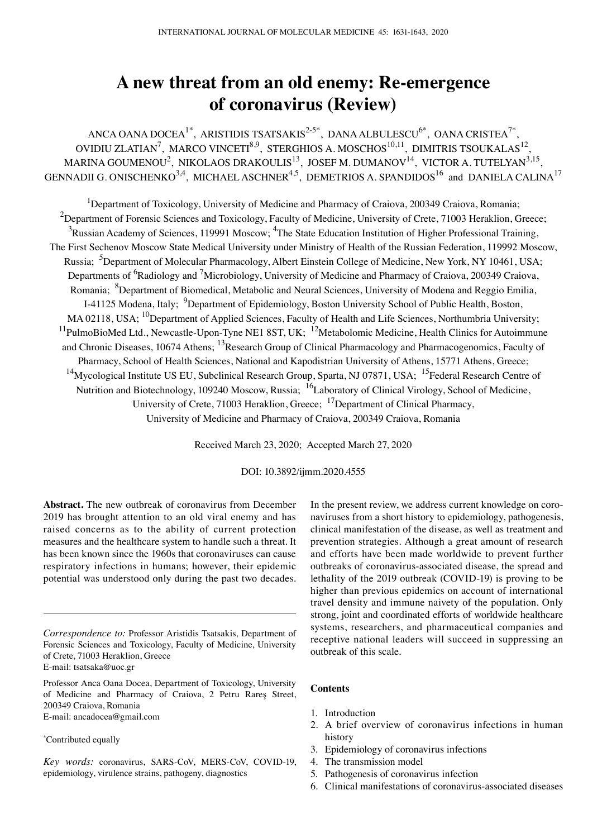# **A new threat from an old enemy: Re‑emergence of coronavirus (Review)**

ANCA OANA DOCEA<sup>1\*</sup>, ARISTIDIS TSATSAKIS<sup>2-5\*</sup>, DANA ALBULESCU<sup>6\*</sup>, OANA CRISTEA<sup>7\*</sup>, OVIDIU ZLATIAN<sup>7</sup>, MARCO VINCETI<sup>8,9</sup>, STERGHIOS A. MOSCHOS<sup>10,11</sup>, DIMITRIS TSOUKALAS<sup>12</sup>, MARINA GOUMENOU<sup>2</sup>, NIKOLAOS DRAKOULIS<sup>13</sup>, JOSEF M. DUMANOV<sup>14</sup>, VICTOR A. TUTELYAN<sup>3,15</sup>, GENNADII G. ONISCHENKO $^{3,4}$ , MICHAEL ASCHNER $^{4,5}$ , DEMETRIOS A. SPANDIDOS $^{16}$  and DANIELA CALINA $^{17}$ 

<sup>1</sup>Department of Toxicology, University of Medicine and Pharmacy of Craiova, 200349 Craiova, Romania;  $^{2}$ Department of Forensic Sciences and Toxicology, Faculty of Medicine, University of Crete, 71003 Heraklion, Greece;  $3$ Russian Academy of Sciences, 119991 Moscow;  $4$ The State Education Institution of Higher Professional Training, The First Sechenov Moscow State Medical University under Ministry of Health of the Russian Federation, 119992 Moscow, Russia; <sup>5</sup>Department of Molecular Pharmacology, Albert Einstein College of Medicine, New York, NY 10461, USA; Departments of <sup>6</sup>Radiology and <sup>7</sup>Microbiology, University of Medicine and Pharmacy of Craiova, 200349 Craiova, Romania; <sup>8</sup>Department of Biomedical, Metabolic and Neural Sciences, University of Modena and Reggio Emilia, I-41125 Modena, Italy; <sup>9</sup>Department of Epidemiology, Boston University School of Public Health, Boston, MA 02118, USA; <sup>10</sup>Department of Applied Sciences, Faculty of Health and Life Sciences, Northumbria University;  $11$ PulmoBioMed Ltd., Newcastle-Upon-Tyne NE1 8ST, UK;  $12$ Metabolomic Medicine, Health Clinics for Autoimmune and Chronic Diseases, 10674 Athens; <sup>13</sup>Research Group of Clinical Pharmacology and Pharmacogenomics, Faculty of Pharmacy, School of Health Sciences, National and Kapodistrian University of Athens, 15771 Athens, Greece; <sup>14</sup>Mycological Institute US EU, Subclinical Research Group, Sparta, NJ 07871, USA; <sup>15</sup>Federal Research Centre of Nutrition and Biotechnology, 109240 Moscow, Russia; <sup>16</sup>Laboratory of Clinical Virology, School of Medicine, University of Crete, 71003 Heraklion, Greece; <sup>17</sup>Department of Clinical Pharmacy, University of Medicine and Pharmacy of Craiova, 200349 Craiova, Romania

Received March 23, 2020; Accepted March 27, 2020

DOI: 10.3892/ijmm.2020.4555

**Abstract.** The new outbreak of coronavirus from December 2019 has brought attention to an old viral enemy and has raised concerns as to the ability of current protection measures and the healthcare system to handle such a threat. It has been known since the 1960s that coronaviruses can cause respiratory infections in humans; however, their epidemic potential was understood only during the past two decades.

#### \* Contributed equally

*Key words:* coronavirus, SARS‑CoV, MERS‑CoV, COVID‑19, epidemiology, virulence strains, pathogeny, diagnostics

In the present review, we address current knowledge on coronaviruses from a short history to epidemiology, pathogenesis, clinical manifestation of the disease, as well as treatment and prevention strategies. Although a great amount of research and efforts have been made worldwide to prevent further outbreaks of coronavirus-associated disease, the spread and lethality of the 2019 outbreak (COVID‑19) is proving to be higher than previous epidemics on account of international travel density and immune naivety of the population. Only strong, joint and coordinated efforts of worldwide healthcare systems, researchers, and pharmaceutical companies and receptive national leaders will succeed in suppressing an outbreak of this scale.

#### **Contents**

- 1. Introduction
- 2. A brief overview of coronavirus infections in human history
- 3. Epidemiology of coronavirus infections
- 4. The transmission model
- 5. Pathogenesis of coronavirus infection
- 6. Clinical manifestations of coronavirus-associated diseases

*Correspondence to:* Professor Aristidis Tsatsakis, Department of Forensic Sciences and Toxicology, Faculty of Medicine, University of Crete, 71003 Heraklion, Greece E-mail: tsatsaka@uoc.gr

Professor Anca Oana Docea, Department of Toxicology, University of Medicine and Pharmacy of Craiova, 2 Petru Rareş Street, 200349 Craiova, Romania E-mail: ancadocea@gmail.com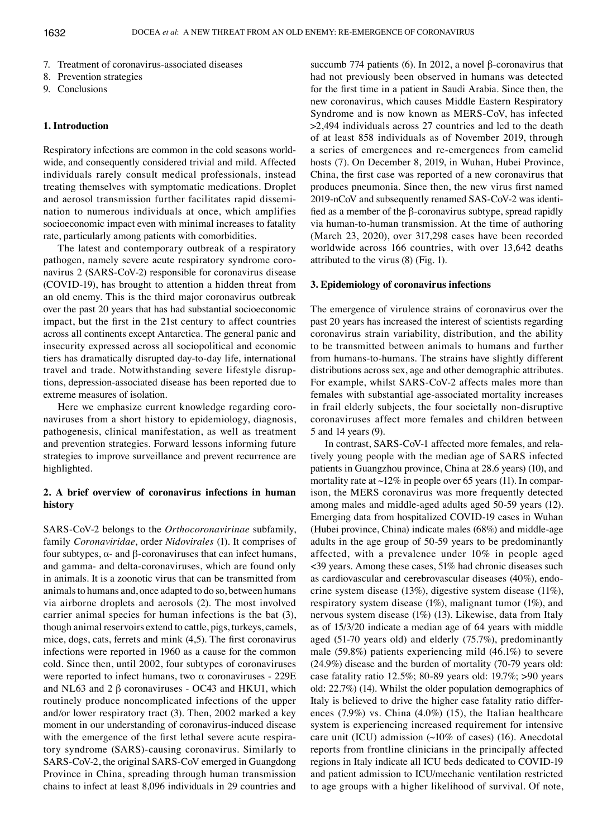- 7. Treatment of coronavirus-associated diseases
- 8. Prevention strategies
- 9. Conclusions

## **1. Introduction**

Respiratory infections are common in the cold seasons worldwide, and consequently considered trivial and mild. Affected individuals rarely consult medical professionals, instead treating themselves with symptomatic medications. Droplet and aerosol transmission further facilitates rapid dissemination to numerous individuals at once, which amplifies socioeconomic impact even with minimal increases to fatality rate, particularly among patients with comorbidities.

The latest and contemporary outbreak of a respiratory pathogen, namely severe acute respiratory syndrome coronavirus 2 (SARS‑CoV-2) responsible for coronavirus disease (COVID‑19), has brought to attention a hidden threat from an old enemy. This is the third major coronavirus outbreak over the past 20 years that has had substantial socioeconomic impact, but the first in the 21st century to affect countries across all continents except Antarctica. The general panic and insecurity expressed across all sociopolitical and economic tiers has dramatically disrupted day-to-day life, international travel and trade. Notwithstanding severe lifestyle disruptions, depression-associated disease has been reported due to extreme measures of isolation.

Here we emphasize current knowledge regarding coronaviruses from a short history to epidemiology, diagnosis, pathogenesis, clinical manifestation, as well as treatment and prevention strategies. Forward lessons informing future strategies to improve surveillance and prevent recurrence are highlighted.

## **2. A brief overview of coronavirus infections in human history**

SARS‑CoV-2 belongs to the *Orthocoronavirinae* subfamily, family *Coronaviridae*, order *Nidovirales* (1). It comprises of four subtypes, α- and β-coronaviruses that can infect humans, and gamma- and delta-coronaviruses, which are found only in animals. It is a zoonotic virus that can be transmitted from animals to humans and, once adapted to do so, between humans via airborne droplets and aerosols (2). The most involved carrier animal species for human infections is the bat (3), though animal reservoirs extend to cattle, pigs, turkeys, camels, mice, dogs, cats, ferrets and mink (4,5). The first coronavirus infections were reported in 1960 as a cause for the common cold. Since then, until 2002, four subtypes of coronaviruses were reported to infect humans, two  $\alpha$  coronaviruses - 229E and NL63 and 2 β coronaviruses - OC43 and HKU1, which routinely produce noncomplicated infections of the upper and/or lower respiratory tract (3). Then, 2002 marked a key moment in our understanding of coronavirus-induced disease with the emergence of the first lethal severe acute respiratory syndrome (SARS)-causing coronavirus. Similarly to SARS‑CoV-2, the original SARS‑CoV emerged in Guangdong Province in China, spreading through human transmission chains to infect at least 8,096 individuals in 29 countries and succumb 774 patients (6). In 2012, a novel β-coronavirus that had not previously been observed in humans was detected for the first time in a patient in Saudi Arabia. Since then, the new coronavirus, which causes Middle Eastern Respiratory Syndrome and is now known as MERS‑CoV, has infected >2,494 individuals across 27 countries and led to the death of at least 858 individuals as of November 2019, through a series of emergences and re-emergences from camelid hosts (7). On December 8, 2019, in Wuhan, Hubei Province, China, the first case was reported of a new coronavirus that produces pneumonia. Since then, the new virus first named 2019-nCoV and subsequently renamed SAS‑CoV-2 was identified as a member of the β-coronavirus subtype, spread rapidly via human-to-human transmission. At the time of authoring (March 23, 2020), over 317,298 cases have been recorded worldwide across 166 countries, with over 13,642 deaths attributed to the virus (8) (Fig. 1).

## **3. Epidemiology of coronavirus infections**

The emergence of virulence strains of coronavirus over the past 20 years has increased the interest of scientists regarding coronavirus strain variability, distribution, and the ability to be transmitted between animals to humans and further from humans-to-humans. The strains have slightly different distributions across sex, age and other demographic attributes. For example, whilst SARS‑CoV-2 affects males more than females with substantial age-associated mortality increases in frail elderly subjects, the four societally non-disruptive coronaviruses affect more females and children between 5 and 14 years (9).

In contrast, SARS‑CoV-1 affected more females, and relatively young people with the median age of SARS infected patients in Guangzhou province, China at 28.6 years) (10), and mortality rate at  $\sim$ 12% in people over 65 years (11). In comparison, the MERS coronavirus was more frequently detected among males and middle-aged adults aged 50-59 years (12). Emerging data from hospitalized COVID‑19 cases in Wuhan (Hubei province, China) indicate males (68%) and middle-age adults in the age group of 50-59 years to be predominantly affected, with a prevalence under 10% in people aged <39 years. Among these cases, 51% had chronic diseases such as cardiovascular and cerebrovascular diseases (40%), endocrine system disease (13%), digestive system disease (11%), respiratory system disease (1%), malignant tumor (1%), and nervous system disease (1%) (13). Likewise, data from Italy as of 15/3/20 indicate a median age of 64 years with middle aged (51-70 years old) and elderly (75.7%), predominantly male (59.8%) patients experiencing mild (46.1%) to severe (24.9%) disease and the burden of mortality (70-79 years old: case fatality ratio 12.5%; 80-89 years old: 19.7%; >90 years old: 22.7%) (14). Whilst the older population demographics of Italy is believed to drive the higher case fatality ratio differences (7.9%) vs. China (4.0%) (15), the Italian healthcare system is experiencing increased requirement for intensive care unit (ICU) admission  $(\sim 10\%$  of cases) (16). Anecdotal reports from frontline clinicians in the principally affected regions in Italy indicate all ICU beds dedicated to COVID‑19 and patient admission to ICU/mechanic ventilation restricted to age groups with a higher likelihood of survival. Of note,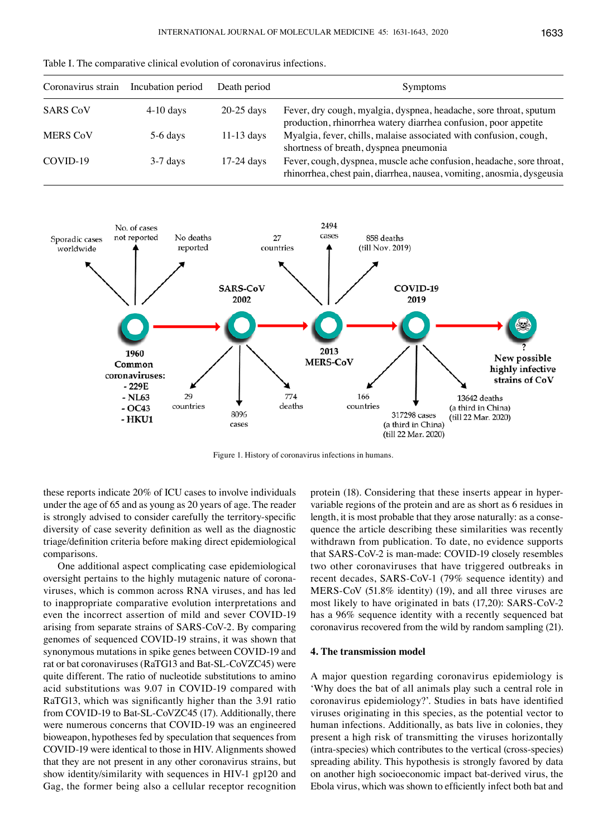| Coronavirus strain | Incubation period | Death period | <b>Symptoms</b>                                                                                                                      |
|--------------------|-------------------|--------------|--------------------------------------------------------------------------------------------------------------------------------------|
| <b>SARS CoV</b>    | $4-10$ days       | $20-25$ days | Fever, dry cough, myalgia, dyspnea, headache, sore throat, sputum<br>production, rhinorrhea watery diarrhea confusion, poor appetite |
| <b>MERS CoV</b>    | $5-6$ days        | $11-13$ days | Myalgia, fever, chills, malaise associated with confusion, cough,<br>shortness of breath, dyspnea pneumonia                          |
| COVID-19           | $3-7$ days        | $17-24$ days | Fever, cough, dyspnea, muscle ache confusion, headache, sore throat,                                                                 |

Table I. The comparative clinical evolution of coronavirus infections.



Figure 1. History of coronavirus infections in humans.

these reports indicate 20% of ICU cases to involve individuals under the age of 65 and as young as 20 years of age. The reader is strongly advised to consider carefully the territory-specific diversity of case severity definition as well as the diagnostic triage/definition criteria before making direct epidemiological comparisons.

One additional aspect complicating case epidemiological oversight pertains to the highly mutagenic nature of coronaviruses, which is common across RNA viruses, and has led to inappropriate comparative evolution interpretations and even the incorrect assertion of mild and sever COVID-19 arising from separate strains of SARS‑CoV-2. By comparing genomes of sequenced COVID‑19 strains, it was shown that synonymous mutations in spike genes between COVID-19 and rat or bat coronaviruses (RaTG13 and Bat-SL‑CoVZC45) were quite different. The ratio of nucleotide substitutions to amino acid substitutions was 9.07 in COVID‑19 compared with RaTG13, which was significantly higher than the 3.91 ratio from COVID-19 to Bat-SL-CoVZC45 (17). Additionally, there were numerous concerns that COVID-19 was an engineered bioweapon, hypotheses fed by speculation that sequences from COVID‑19 were identical to those in HIV. Alignments showed that they are not present in any other coronavirus strains, but show identity/similarity with sequences in HIV-1 gp120 and Gag, the former being also a cellular receptor recognition protein (18). Considering that these inserts appear in hypervariable regions of the protein and are as short as 6 residues in length, it is most probable that they arose naturally: as a consequence the article describing these similarities was recently withdrawn from publication. To date, no evidence supports that SARS‑CoV-2 is man-made: COVID‑19 closely resembles two other coronaviruses that have triggered outbreaks in recent decades, SARS‑CoV-1 (79% sequence identity) and MERS‑CoV (51.8% identity) (19), and all three viruses are most likely to have originated in bats (17,20): SARS‑CoV-2 has a 96% sequence identity with a recently sequenced bat coronavirus recovered from the wild by random sampling (21).

rhinorrhea, chest pain, diarrhea, nausea, vomiting, anosmia, dysgeusia

## **4. The transmission model**

A major question regarding coronavirus epidemiology is 'Why does the bat of all animals play such a central role in coronavirus epidemiology?'. Studies in bats have identified viruses originating in this species, as the potential vector to human infections. Additionally, as bats live in colonies, they present a high risk of transmitting the viruses horizontally (intra-species) which contributes to the vertical (cross-species) spreading ability. This hypothesis is strongly favored by data on another high socioeconomic impact bat-derived virus, the Ebola virus, which was shown to efficiently infect both bat and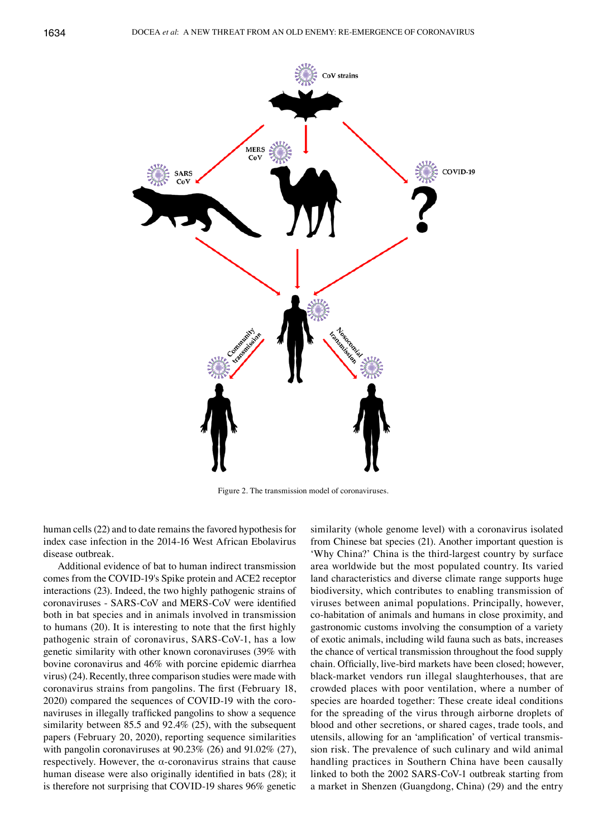

Figure 2. The transmission model of coronaviruses.

human cells (22) and to date remains the favored hypothesis for index case infection in the 2014-16 West African Ebolavirus disease outbreak.

Additional evidence of bat to human indirect transmission comes from the COVID‑19's Spike protein and ACE2 receptor interactions (23). Indeed, the two highly pathogenic strains of coronaviruses ‑ SARS‑CoV and MERS‑CoV were identified both in bat species and in animals involved in transmission to humans (20). It is interesting to note that the first highly pathogenic strain of coronavirus, SARS‑CoV-1, has a low genetic similarity with other known coronaviruses (39% with bovine coronavirus and 46% with porcine epidemic diarrhea virus) (24). Recently, three comparison studies were made with coronavirus strains from pangolins. The first (February 18, 2020) compared the sequences of COVID‑19 with the coronaviruses in illegally trafficked pangolins to show a sequence similarity between 85.5 and 92.4% (25), with the subsequent papers (February 20, 2020), reporting sequence similarities with pangolin coronaviruses at 90.23% (26) and 91.02% (27), respectively. However, the α-coronavirus strains that cause human disease were also originally identified in bats (28); it is therefore not surprising that COVID-19 shares 96% genetic

similarity (whole genome level) with a coronavirus isolated from Chinese bat species (21). Another important question is 'Why China?' China is the third-largest country by surface area worldwide but the most populated country. Its varied land characteristics and diverse climate range supports huge biodiversity, which contributes to enabling transmission of viruses between animal populations. Principally, however, co-habitation of animals and humans in close proximity, and gastronomic customs involving the consumption of a variety of exotic animals, including wild fauna such as bats, increases the chance of vertical transmission throughout the food supply chain. Officially, live‑bird markets have been closed; however, black-market vendors run illegal slaughterhouses, that are crowded places with poor ventilation, where a number of species are hoarded together: These create ideal conditions for the spreading of the virus through airborne droplets of blood and other secretions, or shared cages, trade tools, and utensils, allowing for an 'amplification' of vertical transmission risk. The prevalence of such culinary and wild animal handling practices in Southern China have been causally linked to both the 2002 SARS‑CoV-1 outbreak starting from a market in Shenzen (Guangdong, China) (29) and the entry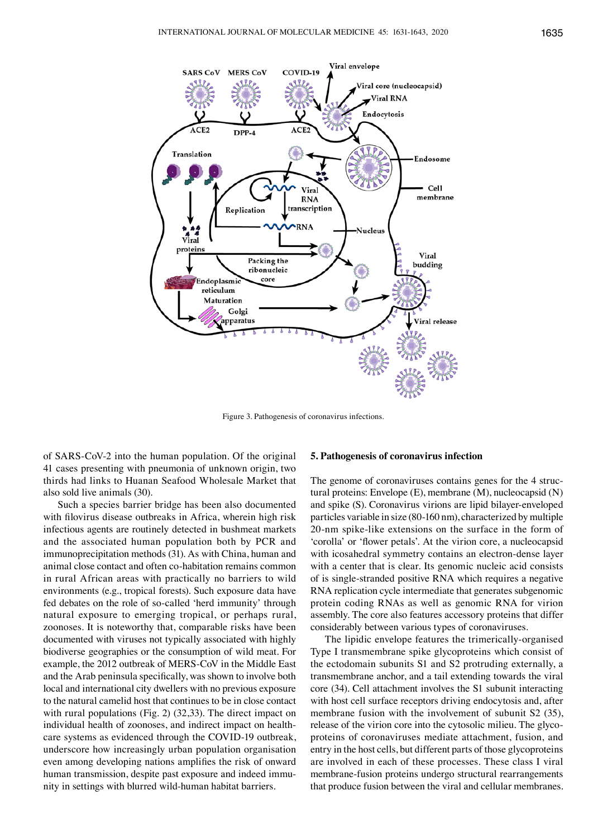

Figure 3. Pathogenesis of coronavirus infections.

of SARS‑CoV-2 into the human population. Of the original 41 cases presenting with pneumonia of unknown origin, two thirds had links to Huanan Seafood Wholesale Market that also sold live animals (30).

Such a species barrier bridge has been also documented with filovirus disease outbreaks in Africa, wherein high risk infectious agents are routinely detected in bushmeat markets and the associated human population both by PCR and immunoprecipitation methods (31). As with China, human and animal close contact and often co-habitation remains common in rural African areas with practically no barriers to wild environments (e.g., tropical forests). Such exposure data have fed debates on the role of so-called 'herd immunity' through natural exposure to emerging tropical, or perhaps rural, zoonoses. It is noteworthy that, comparable risks have been documented with viruses not typically associated with highly biodiverse geographies or the consumption of wild meat. For example, the 2012 outbreak of MERS‑CoV in the Middle East and the Arab peninsula specifically, was shown to involve both local and international city dwellers with no previous exposure to the natural camelid host that continues to be in close contact with rural populations (Fig. 2) (32,33). The direct impact on individual health of zoonoses, and indirect impact on healthcare systems as evidenced through the COVID‑19 outbreak, underscore how increasingly urban population organisation even among developing nations amplifies the risk of onward human transmission, despite past exposure and indeed immunity in settings with blurred wild-human habitat barriers.

#### **5. Pathogenesis of coronavirus infection**

The genome of coronaviruses contains genes for the 4 structural proteins: Envelope (E), membrane (M), nucleocapsid (N) and spike (S). Coronavirus virions are lipid bilayer-enveloped particles variable in size (80-160 nm), characterized by multiple 20-nm spike-like extensions on the surface in the form of 'corolla' or 'flower petals'. At the virion core, a nucleocapsid with icosahedral symmetry contains an electron-dense layer with a center that is clear. Its genomic nucleic acid consists of is single-stranded positive RNA which requires a negative RNA replication cycle intermediate that generates subgenomic protein coding RNAs as well as genomic RNA for virion assembly. The core also features accessory proteins that differ considerably between various types of coronaviruses.

The lipidic envelope features the trimerically-organised Type I transmembrane spike glycoproteins which consist of the ectodomain subunits S1 and S2 protruding externally, a transmembrane anchor, and a tail extending towards the viral core (34). Cell attachment involves the S1 subunit interacting with host cell surface receptors driving endocytosis and, after membrane fusion with the involvement of subunit S2 (35), release of the virion core into the cytosolic milieu. The glycoproteins of coronaviruses mediate attachment, fusion, and entry in the host cells, but different parts of those glycoproteins are involved in each of these processes. These class I viral membrane-fusion proteins undergo structural rearrangements that produce fusion between the viral and cellular membranes.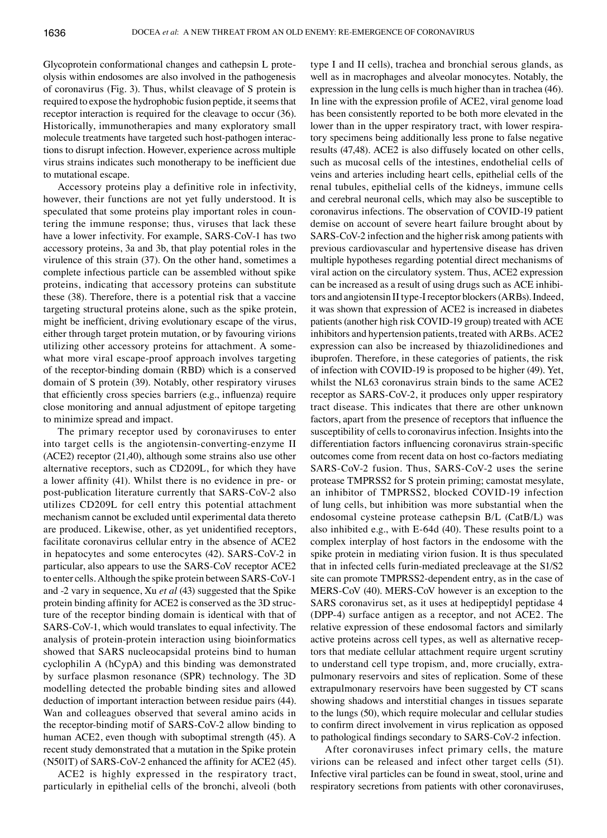Glycoprotein conformational changes and cathepsin L proteolysis within endosomes are also involved in the pathogenesis of coronavirus (Fig. 3). Thus, whilst cleavage of S protein is required to expose the hydrophobic fusion peptide, it seems that receptor interaction is required for the cleavage to occur (36). Historically, immunotherapies and many exploratory small molecule treatments have targeted such host-pathogen interactions to disrupt infection. However, experience across multiple virus strains indicates such monotherapy to be inefficient due to mutational escape.

Accessory proteins play a definitive role in infectivity, however, their functions are not yet fully understood. It is speculated that some proteins play important roles in countering the immune response; thus, viruses that lack these have a lower infectivity. For example, SARS‑CoV-1 has two accessory proteins, 3a and 3b, that play potential roles in the virulence of this strain (37). On the other hand, sometimes a complete infectious particle can be assembled without spike proteins, indicating that accessory proteins can substitute these (38). Therefore, there is a potential risk that a vaccine targeting structural proteins alone, such as the spike protein, might be inefficient, driving evolutionary escape of the virus, either through target protein mutation, or by favouring virions utilizing other accessory proteins for attachment. A somewhat more viral escape-proof approach involves targeting of the receptor-binding domain (RBD) which is a conserved domain of S protein (39). Notably, other respiratory viruses that efficiently cross species barriers (e.g., influenza) require close monitoring and annual adjustment of epitope targeting to minimize spread and impact.

The primary receptor used by coronaviruses to enter into target cells is the angiotensin-converting-enzyme II (ACE2) receptor (21,40), although some strains also use other alternative receptors, such as CD209L, for which they have a lower affinity (41). Whilst there is no evidence in pre‑ or post-publication literature currently that SARS‑CoV-2 also utilizes CD209L for cell entry this potential attachment mechanism cannot be excluded until experimental data thereto are produced. Likewise, other, as yet unidentified receptors, facilitate coronavirus cellular entry in the absence of ACE2 in hepatocytes and some enterocytes (42). SARS‑CoV-2 in particular, also appears to use the SARS‑CoV receptor ACE2 to enter cells. Although the spike protein between SARS‑CoV-1 and -2 vary in sequence, Xu *et al* (43) suggested that the Spike protein binding affinity for ACE2 is conserved as the 3D structure of the receptor binding domain is identical with that of SARS‑CoV-1, which would translates to equal infectivity. The analysis of protein-protein interaction using bioinformatics showed that SARS nucleocapsidal proteins bind to human cyclophilin A (hCypA) and this binding was demonstrated by surface plasmon resonance (SPR) technology. The 3D modelling detected the probable binding sites and allowed deduction of important interaction between residue pairs (44). Wan and colleagues observed that several amino acids in the receptor-binding motif of SARS‑CoV-2 allow binding to human ACE2, even though with suboptimal strength (45). A recent study demonstrated that a mutation in the Spike protein (N501T) of SARS‑CoV‑2 enhanced the affinity for ACE2 (45).

ACE2 is highly expressed in the respiratory tract, particularly in epithelial cells of the bronchi, alveoli (both type I and II cells), trachea and bronchial serous glands, as well as in macrophages and alveolar monocytes. Notably, the expression in the lung cells is much higher than in trachea (46). In line with the expression profile of ACE2, viral genome load has been consistently reported to be both more elevated in the lower than in the upper respiratory tract, with lower respiratory specimens being additionally less prone to false negative results (47,48). ACE2 is also diffusely located on other cells, such as mucosal cells of the intestines, endothelial cells of veins and arteries including heart cells, epithelial cells of the renal tubules, epithelial cells of the kidneys, immune cells and cerebral neuronal cells, which may also be susceptible to coronavirus infections. The observation of COVID‑19 patient demise on account of severe heart failure brought about by SARS‑CoV-2 infection and the higher risk among patients with previous cardiovascular and hypertensive disease has driven multiple hypotheses regarding potential direct mechanisms of viral action on the circulatory system. Thus, ACE2 expression can be increased as a result of using drugs such as ACE inhibitors and angiotensin II type-I receptor blockers (ARBs). Indeed, it was shown that expression of ACE2 is increased in diabetes patients (another high risk COVID‑19 group) treated with ACE inhibitors and hypertension patients, treated with ARBs. ACE2 expression can also be increased by thiazolidinediones and ibuprofen. Therefore, in these categories of patients, the risk of infection with COVID‑19 is proposed to be higher (49). Yet, whilst the NL63 coronavirus strain binds to the same ACE2 receptor as SARS‑CoV-2, it produces only upper respiratory tract disease. This indicates that there are other unknown factors, apart from the presence of receptors that influence the susceptibility of cells to coronavirus infection. Insights into the differentiation factors influencing coronavirus strain‑specific outcomes come from recent data on host co-factors mediating SARS‑CoV-2 fusion. Thus, SARS‑CoV-2 uses the serine protease TMPRSS2 for S protein priming; camostat mesylate, an inhibitor of TMPRSS2, blocked COVID-19 infection of lung cells, but inhibition was more substantial when the endosomal cysteine protease cathepsin B/L (CatB/L) was also inhibited e.g., with E-64d (40). These results point to a complex interplay of host factors in the endosome with the spike protein in mediating virion fusion. It is thus speculated that in infected cells furin-mediated precleavage at the S1/S2 site can promote TMPRSS2-dependent entry, as in the case of MERS‑CoV (40). MERS‑CoV however is an exception to the SARS coronavirus set, as it uses at hedipeptidyl peptidase 4 (DPP-4) surface antigen as a receptor, and not ACE2. The relative expression of these endosomal factors and similarly active proteins across cell types, as well as alternative receptors that mediate cellular attachment require urgent scrutiny to understand cell type tropism, and, more crucially, extrapulmonary reservoirs and sites of replication. Some of these extrapulmonary reservoirs have been suggested by CT scans showing shadows and interstitial changes in tissues separate to the lungs (50), which require molecular and cellular studies to confirm direct involvement in virus replication as opposed to pathological findings secondary to SARS‑CoV‑2 infection.

After coronaviruses infect primary cells, the mature virions can be released and infect other target cells (51). Infective viral particles can be found in sweat, stool, urine and respiratory secretions from patients with other coronaviruses,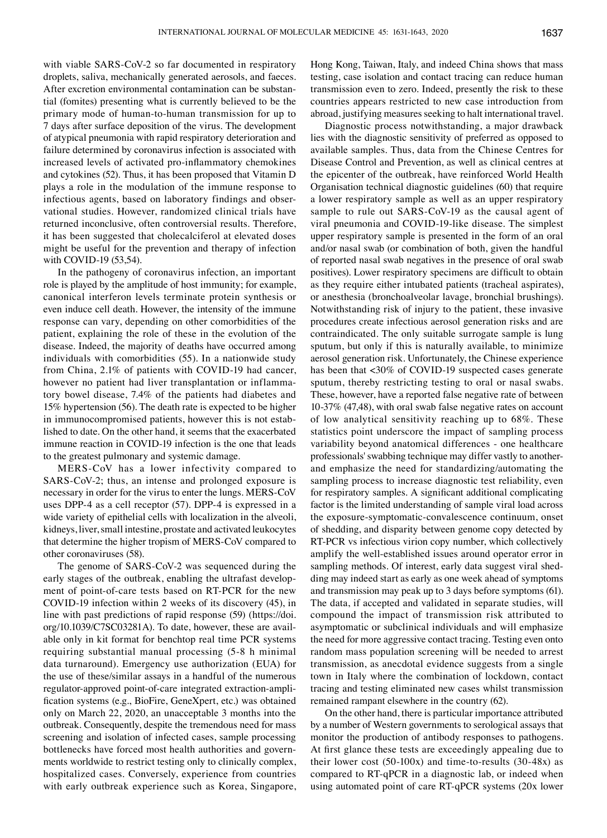with viable SARS-CoV-2 so far documented in respiratory droplets, saliva, mechanically generated aerosols, and faeces. After excretion environmental contamination can be substantial (fomites) presenting what is currently believed to be the primary mode of human-to-human transmission for up to 7 days after surface deposition of the virus. The development of atypical pneumonia with rapid respiratory deterioration and failure determined by coronavirus infection is associated with increased levels of activated pro‑inflammatory chemokines and cytokines (52). Thus, it has been proposed that Vitamin D plays a role in the modulation of the immune response to infectious agents, based on laboratory findings and observational studies. However, randomized clinical trials have returned inconclusive, often controversial results. Therefore, it has been suggested that cholecalciferol at elevated doses might be useful for the prevention and therapy of infection with COVID-19 (53,54).

In the pathogeny of coronavirus infection, an important role is played by the amplitude of host immunity; for example, canonical interferon levels terminate protein synthesis or even induce cell death. However, the intensity of the immune response can vary, depending on other comorbidities of the patient, explaining the role of these in the evolution of the disease. Indeed, the majority of deaths have occurred among individuals with comorbidities (55). In a nationwide study from China, 2.1% of patients with COVID-19 had cancer, however no patient had liver transplantation or inflammatory bowel disease, 7.4% of the patients had diabetes and 15% hypertension (56). The death rate is expected to be higher in immunocompromised patients, however this is not established to date. On the other hand, it seems that the exacerbated immune reaction in COVID-19 infection is the one that leads to the greatest pulmonary and systemic damage.

MERS‑CoV has a lower infectivity compared to SARS–CoV-2; thus, an intense and prolonged exposure is necessary in order for the virus to enter the lungs. MERS‑CoV uses DPP-4 as a cell receptor (57). DPP-4 is expressed in a wide variety of epithelial cells with localization in the alveoli, kidneys, liver, small intestine, prostate and activated leukocytes that determine the higher tropism of MERS‑CoV compared to other coronaviruses (58).

The genome of SARS-CoV-2 was sequenced during the early stages of the outbreak, enabling the ultrafast development of point-of-care tests based on RT-PCR for the new COVID‑19 infection within 2 weeks of its discovery (45), in line with past predictions of rapid response (59) (https://doi. org/10.1039/C7SC03281A). To date, however, these are available only in kit format for benchtop real time PCR systems requiring substantial manual processing (5-8 h minimal data turnaround). Emergency use authorization (EUA) for the use of these/similar assays in a handful of the numerous regulator-approved point-of-care integrated extraction-amplification systems (e.g., BioFire, GeneXpert, etc.) was obtained only on March 22, 2020, an unacceptable 3 months into the outbreak. Consequently, despite the tremendous need for mass screening and isolation of infected cases, sample processing bottlenecks have forced most health authorities and governments worldwide to restrict testing only to clinically complex, hospitalized cases. Conversely, experience from countries with early outbreak experience such as Korea, Singapore, Hong Kong, Taiwan, Italy, and indeed China shows that mass testing, case isolation and contact tracing can reduce human transmission even to zero. Indeed, presently the risk to these countries appears restricted to new case introduction from abroad, justifying measures seeking to halt international travel.

Diagnostic process notwithstanding, a major drawback lies with the diagnostic sensitivity of preferred as opposed to available samples. Thus, data from the Chinese Centres for Disease Control and Prevention, as well as clinical centres at the epicenter of the outbreak, have reinforced World Health Organisation technical diagnostic guidelines (60) that require a lower respiratory sample as well as an upper respiratory sample to rule out SARS-CoV-19 as the causal agent of viral pneumonia and COVID‑19-like disease. The simplest upper respiratory sample is presented in the form of an oral and/or nasal swab (or combination of both, given the handful of reported nasal swab negatives in the presence of oral swab positives). Lower respiratory specimens are difficult to obtain as they require either intubated patients (tracheal aspirates), or anesthesia (bronchoalveolar lavage, bronchial brushings). Notwithstanding risk of injury to the patient, these invasive procedures create infectious aerosol generation risks and are contraindicated. The only suitable surrogate sample is lung sputum, but only if this is naturally available, to minimize aerosol generation risk. Unfortunately, the Chinese experience has been that <30% of COVID-19 suspected cases generate sputum, thereby restricting testing to oral or nasal swabs. These, however, have a reported false negative rate of between 10-37% (47,48), with oral swab false negative rates on account of low analytical sensitivity reaching up to 68%. These statistics point underscore the impact of sampling process variability beyond anatomical differences - one healthcare professionals' swabbing technique may differ vastly to anotherand emphasize the need for standardizing/automating the sampling process to increase diagnostic test reliability, even for respiratory samples. A significant additional complicating factor is the limited understanding of sample viral load across the exposure-symptomatic-convalescence continuum, onset of shedding, and disparity between genome copy detected by RT-PCR vs infectious virion copy number, which collectively amplify the well-established issues around operator error in sampling methods. Of interest, early data suggest viral shedding may indeed start as early as one week ahead of symptoms and transmission may peak up to 3 days before symptoms (61). The data, if accepted and validated in separate studies, will compound the impact of transmission risk attributed to asymptomatic or subclinical individuals and will emphasize the need for more aggressive contact tracing. Testing even onto random mass population screening will be needed to arrest transmission, as anecdotal evidence suggests from a single town in Italy where the combination of lockdown, contact tracing and testing eliminated new cases whilst transmission remained rampant elsewhere in the country (62).

On the other hand, there is particular importance attributed by a number of Western governments to serological assays that monitor the production of antibody responses to pathogens. At first glance these tests are exceedingly appealing due to their lower cost (50-100x) and time-to-results (30-48x) as compared to RT-qPCR in a diagnostic lab, or indeed when using automated point of care RT-qPCR systems (20x lower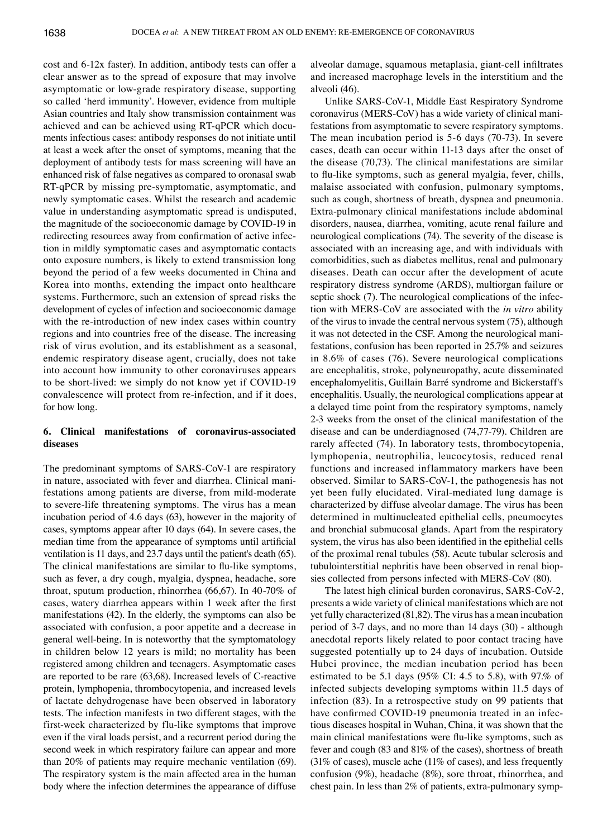cost and 6-12x faster). In addition, antibody tests can offer a clear answer as to the spread of exposure that may involve asymptomatic or low-grade respiratory disease, supporting so called 'herd immunity'. However, evidence from multiple Asian countries and Italy show transmission containment was achieved and can be achieved using RT-qPCR which documents infectious cases: antibody responses do not initiate until at least a week after the onset of symptoms, meaning that the deployment of antibody tests for mass screening will have an enhanced risk of false negatives as compared to oronasal swab RT-qPCR by missing pre-symptomatic, asymptomatic, and newly symptomatic cases. Whilst the research and academic value in understanding asymptomatic spread is undisputed, the magnitude of the socioeconomic damage by COVID‑19 in redirecting resources away from confirmation of active infection in mildly symptomatic cases and asymptomatic contacts onto exposure numbers, is likely to extend transmission long beyond the period of a few weeks documented in China and Korea into months, extending the impact onto healthcare systems. Furthermore, such an extension of spread risks the development of cycles of infection and socioeconomic damage with the re-introduction of new index cases within country regions and into countries free of the disease. The increasing risk of virus evolution, and its establishment as a seasonal, endemic respiratory disease agent, crucially, does not take into account how immunity to other coronaviruses appears to be short-lived: we simply do not know yet if COVID‑19 convalescence will protect from re-infection, and if it does, for how long.

## **6. Clinical manifestations of coronavirus‑associated diseases**

The predominant symptoms of SARS‑CoV-1 are respiratory in nature, associated with fever and diarrhea. Clinical manifestations among patients are diverse, from mild-moderate to severe-life threatening symptoms. The virus has a mean incubation period of 4.6 days (63), however in the majority of cases, symptoms appear after 10 days (64). In severe cases, the median time from the appearance of symptoms until artificial ventilation is 11 days, and 23.7 days until the patient's death (65). The clinical manifestations are similar to flu-like symptoms, such as fever, a dry cough, myalgia, dyspnea, headache, sore throat, sputum production, rhinorrhea (66,67). In 40-70% of cases, watery diarrhea appears within 1 week after the first manifestations (42). In the elderly, the symptoms can also be associated with confusion, a poor appetite and a decrease in general well-being. In is noteworthy that the symptomatology in children below 12 years is mild; no mortality has been registered among children and teenagers. Asymptomatic cases are reported to be rare (63,68). Increased levels of C‑reactive protein, lymphopenia, thrombocytopenia, and increased levels of lactate dehydrogenase have been observed in laboratory tests. The infection manifests in two different stages, with the first-week characterized by flu-like symptoms that improve even if the viral loads persist, and a recurrent period during the second week in which respiratory failure can appear and more than 20% of patients may require mechanic ventilation (69). The respiratory system is the main affected area in the human body where the infection determines the appearance of diffuse alveolar damage, squamous metaplasia, giant‑cell infiltrates and increased macrophage levels in the interstitium and the alveoli (46).

Unlike SARS‑CoV-1, Middle East Respiratory Syndrome coronavirus (MERS‑CoV) has a wide variety of clinical manifestations from asymptomatic to severe respiratory symptoms. The mean incubation period is 5-6 days (70-73). In severe cases, death can occur within 11-13 days after the onset of the disease (70,73). The clinical manifestations are similar to flu-like symptoms, such as general myalgia, fever, chills, malaise associated with confusion, pulmonary symptoms, such as cough, shortness of breath, dyspnea and pneumonia. Extra-pulmonary clinical manifestations include abdominal disorders, nausea, diarrhea, vomiting, acute renal failure and neurological complications (74). The severity of the disease is associated with an increasing age, and with individuals with comorbidities, such as diabetes mellitus, renal and pulmonary diseases. Death can occur after the development of acute respiratory distress syndrome (ARDS), multiorgan failure or septic shock (7). The neurological complications of the infection with MERS‑CoV are associated with the *in vitro* ability of the virus to invade the central nervous system (75), although it was not detected in the CSF. Among the neurological manifestations, confusion has been reported in 25.7% and seizures in 8.6% of cases (76). Severe neurological complications are encephalitis, stroke, polyneuropathy, acute disseminated encephalomyelitis, Guillain Barré syndrome and Bickerstaff's encephalitis. Usually, the neurological complications appear at a delayed time point from the respiratory symptoms, namely 2-3 weeks from the onset of the clinical manifestation of the disease and can be underdiagnosed (74,77-79). Children are rarely affected (74). In laboratory tests, thrombocytopenia, lymphopenia, neutrophilia, leucocytosis, reduced renal functions and increased inflammatory markers have been observed. Similar to SARS‑CoV-1, the pathogenesis has not yet been fully elucidated. Viral-mediated lung damage is characterized by diffuse alveolar damage. The virus has been determined in multinucleated epithelial cells, pneumocytes and bronchial submucosal glands. Apart from the respiratory system, the virus has also been identified in the epithelial cells of the proximal renal tubules (58). Acute tubular sclerosis and tubulointerstitial nephritis have been observed in renal biopsies collected from persons infected with MERS‑CoV (80).

The latest high clinical burden coronavirus, SARS‑CoV-2, presents a wide variety of clinical manifestations which are not yet fully characterized (81,82). The virus has a mean incubation period of 3-7 days, and no more than 14 days (30) - although anecdotal reports likely related to poor contact tracing have suggested potentially up to 24 days of incubation. Outside Hubei province, the median incubation period has been estimated to be 5.1 days (95% CI: 4.5 to 5.8), with 97.% of infected subjects developing symptoms within 11.5 days of infection (83). In a retrospective study on 99 patients that have confirmed COVID-19 pneumonia treated in an infectious diseases hospital in Wuhan, China, it was shown that the main clinical manifestations were flu-like symptoms, such as fever and cough (83 and 81% of the cases), shortness of breath (31% of cases), muscle ache (11% of cases), and less frequently confusion (9%), headache (8%), sore throat, rhinorrhea, and chest pain. In less than 2% of patients, extra-pulmonary symp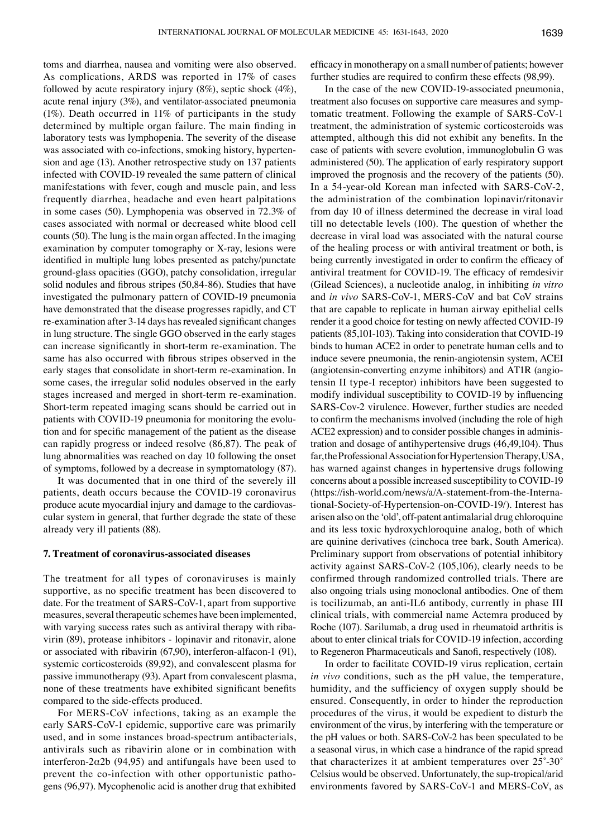toms and diarrhea, nausea and vomiting were also observed. As complications, ARDS was reported in 17% of cases followed by acute respiratory injury (8%), septic shock (4%), acute renal injury (3%), and ventilator-associated pneumonia (1%). Death occurred in 11% of participants in the study determined by multiple organ failure. The main finding in laboratory tests was lymphopenia. The severity of the disease was associated with co-infections, smoking history, hypertension and age (13). Another retrospective study on 137 patients infected with COVID‑19 revealed the same pattern of clinical manifestations with fever, cough and muscle pain, and less frequently diarrhea, headache and even heart palpitations in some cases (50). Lymphopenia was observed in 72.3% of cases associated with normal or decreased white blood cell counts(50). The lung is the main organ affected. In the imaging examination by computer tomography or X-ray, lesions were identified in multiple lung lobes presented as patchy/punctate ground-glass opacities (GGO), patchy consolidation, irregular solid nodules and fibrous stripes (50,84‑86). Studies that have investigated the pulmonary pattern of COVID‑19 pneumonia have demonstrated that the disease progresses rapidly, and CT re‑examination after 3‑14 days has revealed significant changes in lung structure. The single GGO observed in the early stages can increase significantly in short-term re-examination. The same has also occurred with fibrous stripes observed in the early stages that consolidate in short-term re-examination. In some cases, the irregular solid nodules observed in the early stages increased and merged in short-term re-examination. Short-term repeated imaging scans should be carried out in patients with COVID-19 pneumonia for monitoring the evolution and for specific management of the patient as the disease can rapidly progress or indeed resolve (86,87). The peak of lung abnormalities was reached on day 10 following the onset of symptoms, followed by a decrease in symptomatology (87).

It was documented that in one third of the severely ill patients, death occurs because the COVID‑19 coronavirus produce acute myocardial injury and damage to the cardiovascular system in general, that further degrade the state of these already very ill patients (88).

#### **7. Treatment of coronavirus‑associated diseases**

The treatment for all types of coronaviruses is mainly supportive, as no specific treatment has been discovered to date. For the treatment of SARS‑CoV-1, apart from supportive measures, several therapeutic schemes have been implemented, with varying success rates such as antiviral therapy with ribavirin (89), protease inhibitors - lopinavir and ritonavir, alone or associated with ribavirin (67,90), interferon-alfacon-1 (91), systemic corticosteroids (89,92), and convalescent plasma for passive immunotherapy (93). Apart from convalescent plasma, none of these treatments have exhibited significant benefits compared to the side-effects produced.

For MERS‑CoV infections, taking as an example the early SARS‑CoV-1 epidemic, supportive care was primarily used, and in some instances broad-spectrum antibacterials, antivirals such as ribavirin alone or in combination with interferon-2α2b (94,95) and antifungals have been used to prevent the co-infection with other opportunistic pathogens (96,97). Mycophenolic acid is another drug that exhibited efficacy in monotherapy on a small number of patients; however further studies are required to confirm these effects (98,99).

In the case of the new COVID‑19-associated pneumonia, treatment also focuses on supportive care measures and symptomatic treatment. Following the example of SARS‑CoV-1 treatment, the administration of systemic corticosteroids was attempted, although this did not exhibit any benefits. In the case of patients with severe evolution, immunoglobulin G was administered (50). The application of early respiratory support improved the prognosis and the recovery of the patients (50). In a 54-year-old Korean man infected with SARS‑CoV-2, the administration of the combination lopinavir/ritonavir from day 10 of illness determined the decrease in viral load till no detectable levels (100). The question of whether the decrease in viral load was associated with the natural course of the healing process or with antiviral treatment or both, is being currently investigated in order to confirm the efficacy of antiviral treatment for COVID‑19. The efficacy of remdesivir (Gilead Sciences), a nucleotide analog, in inhibiting *in vitro* and *in vivo* SARS‑CoV-1, MERS‑CoV and bat CoV strains that are capable to replicate in human airway epithelial cells render it a good choice for testing on newly affected COVID-19 patients (85,101-103). Taking into consideration that COVID-19 binds to human ACE2 in order to penetrate human cells and to induce severe pneumonia, the renin-angiotensin system, ACEI (angiotensin-converting enzyme inhibitors) and AT1R (angiotensin II type-I receptor) inhibitors have been suggested to modify individual susceptibility to COVID‑19 by influencing SARS‑Cov-2 virulence. However, further studies are needed to confirm the mechanisms involved (including the role of high ACE2 expression) and to consider possible changes in administration and dosage of antihypertensive drugs (46,49,104). Thus far, the Professional Association for Hypertension Therapy, USA, has warned against changes in hypertensive drugs following concerns about a possible increased susceptibility to COVID‑19 (https://ish-world.com/news/a/A-statement-from-the-International-Society-of-Hypertension-on‑COVID‑19/). Interest has arisen also on the 'old', off-patent antimalarial drug chloroquine and its less toxic hydroxychloroquine analog, both of which are quinine derivatives (cinchoca tree bark, South America). Preliminary support from observations of potential inhibitory activity against SARS‑CoV-2 (105,106), clearly needs to be confirmed through randomized controlled trials. There are also ongoing trials using monoclonal antibodies. One of them is tocilizumab, an anti-IL6 antibody, currently in phase III clinical trials, with commercial name Actemra produced by Roche (107). Sarilumab, a drug used in rheumatoid arthritis is about to enter clinical trials for COVID‑19 infection, according to Regeneron Pharmaceuticals and Sanofi, respectively (108).

In order to facilitate COVID‑19 virus replication, certain *in vivo* conditions, such as the pH value, the temperature, humidity, and the sufficiency of oxygen supply should be ensured. Consequently, in order to hinder the reproduction procedures of the virus, it would be expedient to disturb the environment of the virus, by interfering with the temperature or the pH values or both. SARS‑CoV-2 has been speculated to be a seasonal virus, in which case a hindrance of the rapid spread that characterizes it at ambient temperatures over 25˚‑30˚ Celsius would be observed. Unfortunately, the sup-tropical/arid environments favored by SARS‑CoV-1 and MERS‑CoV, as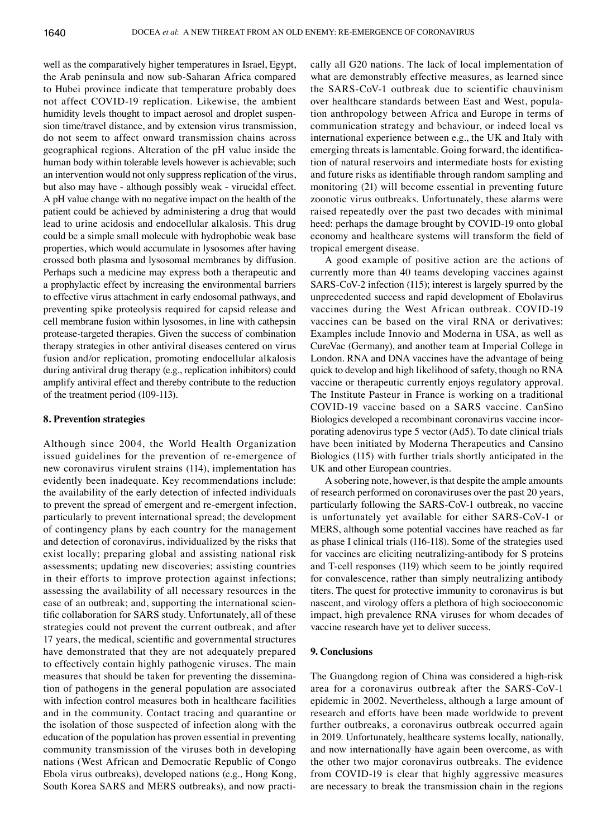well as the comparatively higher temperatures in Israel, Egypt, the Arab peninsula and now sub-Saharan Africa compared to Hubei province indicate that temperature probably does not affect COVID‑19 replication. Likewise, the ambient humidity levels thought to impact aerosol and droplet suspension time/travel distance, and by extension virus transmission, do not seem to affect onward transmission chains across geographical regions. Alteration of the pH value inside the human body within tolerable levels however is achievable; such an intervention would not only suppress replication of the virus, but also may have - although possibly weak - virucidal effect. A pH value change with no negative impact on the health of the patient could be achieved by administering a drug that would lead to urine acidosis and endocellular alkalosis. This drug could be a simple small molecule with hydrophobic weak base properties, which would accumulate in lysosomes after having crossed both plasma and lysosomal membranes by diffusion. Perhaps such a medicine may express both a therapeutic and a prophylactic effect by increasing the environmental barriers to effective virus attachment in early endosomal pathways, and preventing spike proteolysis required for capsid release and cell membrane fusion within lysosomes, in line with cathepsin protease-targeted therapies. Given the success of combination therapy strategies in other antiviral diseases centered on virus fusion and/or replication, promoting endocellular alkalosis during antiviral drug therapy (e.g., replication inhibitors) could amplify antiviral effect and thereby contribute to the reduction of the treatment period (109-113).

## **8. Prevention strategies**

Although since 2004, the World Health Organization issued guidelines for the prevention of re-emergence of new coronavirus virulent strains (114), implementation has evidently been inadequate. Key recommendations include: the availability of the early detection of infected individuals to prevent the spread of emergent and re-emergent infection, particularly to prevent international spread; the development of contingency plans by each country for the management and detection of coronavirus, individualized by the risks that exist locally; preparing global and assisting national risk assessments; updating new discoveries; assisting countries in their efforts to improve protection against infections; assessing the availability of all necessary resources in the case of an outbreak; and, supporting the international scientific collaboration for SARS study. Unfortunately, all of these strategies could not prevent the current outbreak, and after 17 years, the medical, scientific and governmental structures have demonstrated that they are not adequately prepared to effectively contain highly pathogenic viruses. The main measures that should be taken for preventing the dissemination of pathogens in the general population are associated with infection control measures both in healthcare facilities and in the community. Contact tracing and quarantine or the isolation of those suspected of infection along with the education of the population has proven essential in preventing community transmission of the viruses both in developing nations (West African and Democratic Republic of Congo Ebola virus outbreaks), developed nations (e.g., Hong Kong, South Korea SARS and MERS outbreaks), and now practically all G20 nations. The lack of local implementation of what are demonstrably effective measures, as learned since the SARS‑CoV-1 outbreak due to scientific chauvinism over healthcare standards between East and West, population anthropology between Africa and Europe in terms of communication strategy and behaviour, or indeed local vs international experience between e.g., the UK and Italy with emerging threats is lamentable. Going forward, the identification of natural reservoirs and intermediate hosts for existing and future risks as identifiable through random sampling and monitoring (21) will become essential in preventing future zoonotic virus outbreaks. Unfortunately, these alarms were raised repeatedly over the past two decades with minimal heed: perhaps the damage brought by COVID-19 onto global economy and healthcare systems will transform the field of tropical emergent disease.

A good example of positive action are the actions of currently more than 40 teams developing vaccines against SARS‑CoV-2 infection (115); interest is largely spurred by the unprecedented success and rapid development of Ebolavirus vaccines during the West African outbreak. COVID‑19 vaccines can be based on the viral RNA or derivatives: Examples include Innovio and Moderna in USA, as well as CureVac (Germany), and another team at Imperial College in London. RNA and DNA vaccines have the advantage of being quick to develop and high likelihood of safety, though no RNA vaccine or therapeutic currently enjoys regulatory approval. The Institute Pasteur in France is working on a traditional COVID‑19 vaccine based on a SARS vaccine. CanSino Biologics developed a recombinant coronavirus vaccine incorporating adenovirus type 5 vector (Ad5). To date clinical trials have been initiated by Moderna Therapeutics and Cansino Biologics (115) with further trials shortly anticipated in the UK and other European countries.

A sobering note, however, is that despite the ample amounts of research performed on coronaviruses over the past 20 years, particularly following the SARS‑CoV-1 outbreak, no vaccine is unfortunately yet available for either SARS‑CoV-1 or MERS, although some potential vaccines have reached as far as phase I clinical trials (116-118). Some of the strategies used for vaccines are eliciting neutralizing-antibody for S proteins and T-cell responses (119) which seem to be jointly required for convalescence, rather than simply neutralizing antibody titers. The quest for protective immunity to coronavirus is but nascent, and virology offers a plethora of high socioeconomic impact, high prevalence RNA viruses for whom decades of vaccine research have yet to deliver success.

## **9. Conclusions**

The Guangdong region of China was considered a high-risk area for a coronavirus outbreak after the SARS‑CoV-1 epidemic in 2002. Nevertheless, although a large amount of research and efforts have been made worldwide to prevent further outbreaks, a coronavirus outbreak occurred again in 2019. Unfortunately, healthcare systems locally, nationally, and now internationally have again been overcome, as with the other two major coronavirus outbreaks. The evidence from COVID-19 is clear that highly aggressive measures are necessary to break the transmission chain in the regions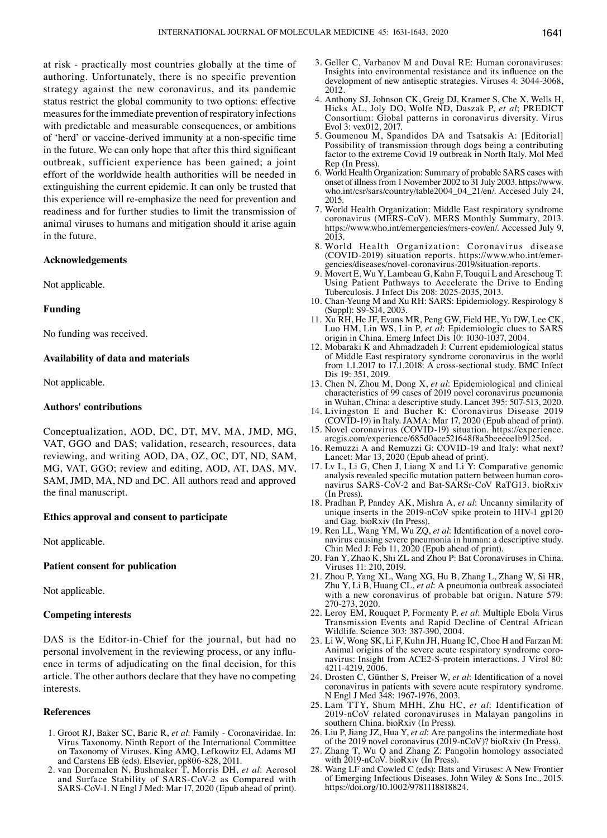at risk - practically most countries globally at the time of authoring. Unfortunately, there is no specific prevention strategy against the new coronavirus, and its pandemic status restrict the global community to two options: effective measures for the immediate prevention of respiratory infections with predictable and measurable consequences, or ambitions of 'herd' or vaccine‑derived immunity at a non‑specific time in the future. We can only hope that after this third significant outbreak, sufficient experience has been gained; a joint effort of the worldwide health authorities will be needed in extinguishing the current epidemic. It can only be trusted that this experience will re-emphasize the need for prevention and readiness and for further studies to limit the transmission of animal viruses to humans and mitigation should it arise again in the future.

## **Acknowledgements**

Not applicable.

#### **Funding**

No funding was received.

#### **Availability of data and materials**

Not applicable.

#### **Authors' contributions**

Conceptualization, AOD, DC, DT, MV, MA, JMD, MG, VAT, GGO and DAS; validation, research, resources, data reviewing, and writing AOD, DA, OZ, OC, DT, ND, SAM, MG, VAT, GGO; review and editing, AOD, AT, DAS, MV, SAM, JMD, MA, ND and DC. All authors read and approved the final manuscript.

#### **Ethics approval and consent to participate**

Not applicable.

### **Patient consent for publication**

Not applicable.

## **Competing interests**

DAS is the Editor-in-Chief for the journal, but had no personal involvement in the reviewing process, or any influence in terms of adjudicating on the final decision, for this article. The other authors declare that they have no competing interests.

#### **References**

- 1. Groot RJ, Baker SC, Baric R, *et al*: Family Coronaviridae. In: Virus Taxonomy. Ninth Report of the International Committee on Taxonomy of Viruses. King AMQ, Lefkowitz EJ, Adams MJ and Carstens EB (eds). Elsevier, pp806-828, 2011.
- 2. van Doremalen N, Bushmaker T, Morris DH, *et al*: Aerosol and Surface Stability of SARS‑CoV-2 as Compared with SARS‑CoV-1. N Engl J Med: Mar 17, 2020 (Epub ahead of print).
- 3. Geller C, Varbanov M and Duval RE: Human coronaviruses: Insights into environmental resistance and its influence on the development of new antiseptic strategies. Viruses 4: 3044-3068, 2012.
- 4. Anthony SJ, Johnson CK, Greig DJ, Kramer S, Che X, Wells H, Hicks AL, Joly DO, Wolfe ND, Daszak P, *et al*; PREDICT Consortium: Global patterns in coronavirus diversity. Virus Evol 3: vex012, 2017.
- 5. Goumenou M, Spandidos DA and Tsatsakis A: [Editorial] Possibility of transmission through dogs being a contributing factor to the extreme Covid 19 outbreak in North Italy. Mol Med Rep (In Press).
- 6. World Health Organization: Summary of probable SARS cases with onset of illness from 1 November 2002 to 31 July 2003. https://www. who.int/csr/sars/country/table2004\_04\_21/en/. Accesed July 24, 2015.
- 7. World Health Organization: Middle East respiratory syndrome coronavirus (MERS-CoV). MERS Monthly Summary, 2013. https://www.who.int/emergencies/mers-cov/en/. Accessed July 9, 2013.
- 8. World Health Organization: Coronavirus disease (COVID‑2019) situation reports. https://www.who.int/emergencies/diseases/novel-coronavirus-2019/situation-reports.
- 9. Movert E, Wu Y, Lambeau G, Kahn F, Touqui L and Areschoug T: Using Patient Pathways to Accelerate the Drive to Ending Tuberculosis. J Infect Dis 208: 2025-2035, 2013.
- 10. Chan-Yeung M and Xu RH: SARS: Epidemiology. Respirology 8 (Suppl): S9-S14, 2003.
- 11. Xu RH, He JF, Evans MR, Peng GW, Field HE, Yu DW, Lee CK, Luo HM, Lin WS, Lin P, *et al*: Epidemiologic clues to SARS origin in China. Emerg Infect Dis 10: 1030-1037, 2004.
- 12. Mobaraki K and Ahmadzadeh J: Current epidemiological status of Middle East respiratory syndrome coronavirus in the world from 1.1.2017 to 17.1.2018: A cross-sectional study. BMC Infect Dis 19: 351, 2019.
- 13. Chen N, Zhou M, Dong X, *et al*: Epidemiological and clinical characteristics of 99 cases of 2019 novel coronavirus pneumonia in Wuhan, China: a descriptive study. Lancet 395: 507-513, 2020.
- 14. Livingston E and Bucher K: Coronavirus Disease 2019 (COVID‑19) in Italy. JAMA: Mar 17, 2020 (Epub ahead of print).
- 15. Novel coronavirus (COVID‑19) situation. https://experience. arcgis.com/experience/685d0ace521648f8a5beeeee1b9125cd.
- 16. Remuzzi A and Remuzzi G: COVID-19 and Italy: what next? Lancet: Mar 13, 2020 (Epub ahead of print).
- 17. Lv L, Li G, Chen J, Liang X and Li Y: Comparative genomic analysis revealed specific mutation pattern between human coronavirus SARS‑CoV-2 and Bat-SARSr‑CoV RaTG13. bioRxiv (In Press).
- 18. Pradhan P, Pandey AK, Mishra A, *et al*: Uncanny similarity of unique inserts in the 2019-nCoV spike protein to HIV-1 gp120 and Gag. bioRxiv (In Press).
- 19. Ren LL, Wang YM, Wu ZQ, *et al*: Identification of a novel coronavirus causing severe pneumonia in human: a descriptive study. Chin Med J: Feb 11, 2020 (Epub ahead of print).
- 20. Fan Y, Zhao K, Shi ZL and Zhou P: Bat Coronaviruses in China. Viruses 11: 210, 2019.
- 21. Zhou P, Yang XL, Wang XG, Hu B, Zhang L, Zhang W, Si HR, Zhu Y, Li B, Huang CL, *et al*: A pneumonia outbreak associated with a new coronavirus of probable bat origin. Nature 579: 270-273, 2020.
- 22. Leroy EM, Rouquet P, Formenty P, *et al*: Multiple Ebola Virus Transmission Events and Rapid Decline of Central African Wildlife. Science 303: 387-390, 2004.
- 23. Li W, Wong SK, Li F, Kuhn JH, Huang IC, Choe H and Farzan M: Animal origins of the severe acute respiratory syndrome coronavirus: Insight from ACE2-S-protein interactions. J Virol 80: 4211-4219, 2006.
- 24. Drosten C, Günther S, Preiser W, *et al*: Identification of a novel coronavirus in patients with severe acute respiratory syndrome. N Engl J Med 348: 1967-1976, 2003.
- 25. Lam TTY, Shum MHH, Zhu HC, *et al*: Identification of 2019-nCoV related coronaviruses in Malayan pangolins in southern China. bioRxiv (In Press).
- 26. Liu P, Jiang JZ, Hua Y, *et al*: Are pangolins the intermediate host of the 2019 novel coronavirus (2019-nCoV)? bioRxiv (In Press).
- 27. Zhang T, Wu Q and Zhang Z: Pangolin homology associated with 2019-nCoV. bioRxiv (In Press).
- 28. Wang LF and Cowled C (eds): Bats and Viruses: A New Frontier of Emerging Infectious Diseases. John Wiley & Sons Inc., 2015. https://doi.org/10.1002/9781118818824.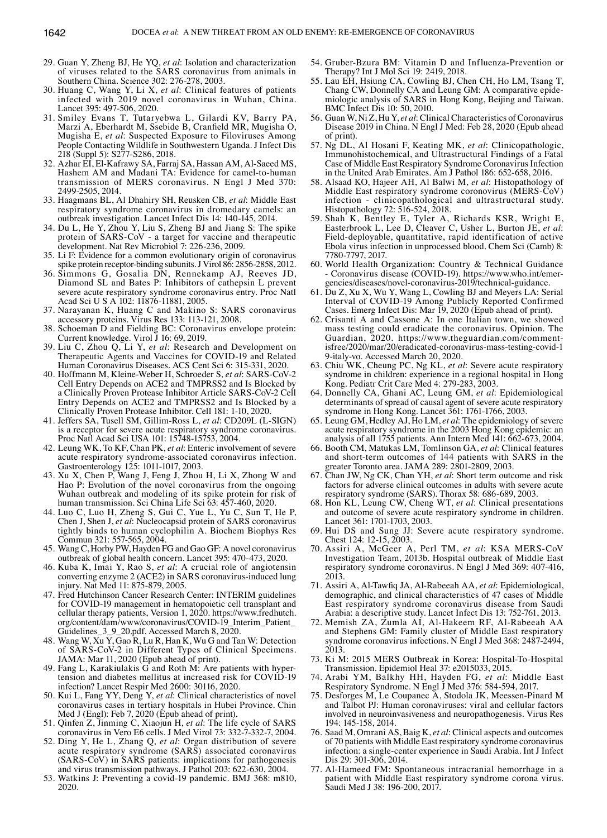- 29. Guan Y, Zheng BJ, He YQ, *et al*: Isolation and characterization of viruses related to the SARS coronavirus from animals in Southern China. Science 302: 276-278, 2003.
- 30. Huang C, Wang Y, Li X, *et al*: Clinical features of patients infected with 2019 novel coronavirus in Wuhan, China. Lancet 395: 497-506, 2020.
- 31. Smiley Evans T, Tutaryebwa L, Gilardi KV, Barry PA, Marzi A, Eberhardt M, Ssebide B, Cranfield MR, Mugisha O, Mugisha E, *et al*: Suspected Exposure to Filoviruses Among People Contacting Wildlife in Southwestern Uganda. J Infect Dis 218 (Suppl 5): S277-S286, 2018.
- 32. Azhar EI, El-Kafrawy SA, Farraj SA, Hassan AM, Al-Saeed MS, Hashem AM and Madani TA: Evidence for camel-to-human transmission of MERS coronavirus. N Engl J Med 370: 2499-2505, 2014.
- 33. Haagmans BL, Al Dhahiry SH, Reusken CB, *et al*: Middle East respiratory syndrome coronavirus in dromedary camels: an outbreak investigation. Lancet Infect Dis 14: 140-145, 2014.
- 34. Du L, He Y, Zhou Y, Liu S, Zheng BJ and Jiang S: The spike protein of SARS‑CoV - a target for vaccine and therapeutic development. Nat Rev Microbiol 7: 226-236, 2009.
- 35. Li F: Evidence for a common evolutionary origin of coronavirus spike protein receptor-binding subunits. J Virol 86: 2856-2858, 2012.
- 36. Simmons G, Gosalia DN, Rennekamp AJ, Reeves JD, Diamond SL and Bates P: Inhibitors of cathepsin L prevent severe acute respiratory syndrome coronavirus entry. Proc Natl Acad Sci U S A 102: 11876-11881, 2005.
- 37. Narayanan K, Huang C and Makino S: SARS coronavirus accessory proteins. Virus Res 133: 113-121, 2008.
- 38. Schoeman D and Fielding BC: Coronavirus envelope protein: Current knowledge. Virol J 16: 69, 2019.
- 39. Liu C, Zhou Q, Li Y, *et al*: Research and Development on Therapeutic Agents and Vaccines for COVID‑19 and Related Human Coronavirus Diseases. ACS Cent Sci 6: 315-331, 2020.
- 40. Hoffmann M, Kleine-Weber H, Schroeder S, *et al*: SARS‑CoV-2 Cell Entry Depends on ACE2 and TMPRSS2 and Is Blocked by a Clinically Proven Protease Inhibitor Article SARS‑CoV-2 Cell Entry Depends on ACE2 and TMPRSS2 and Is Blocked by a Clinically Proven Protease Inhibitor. Cell 181: 1-10, 2020.
- 41. Jeffers SA, Tusell SM, Gillim-Ross L, *et al*: CD209L (L-SIGN) is a receptor for severe acute respiratory syndrome coronavirus. Proc Natl Acad Sci USA 101: 15748-15753, 2004.
- 42. Leung WK, To KF, Chan PK, *et al*: Enteric involvement of severe acute respiratory syndrome-associated coronavirus infection. Gastroenterology 125: 1011-1017, 2003.
- 43. Xu X, Chen P, Wang J, Feng J, Zhou H, Li X, Zhong W and Hao P: Evolution of the novel coronavirus from the ongoing Wuhan outbreak and modeling of its spike protein for risk of human transmission. Sci China Life Sci 63: 457-460, 2020.
- 44. Luo C, Luo H, Zheng S, Gui C, Yue L, Yu C, Sun T, He P, Chen J, Shen J, *et al*: Nucleocapsid protein of SARS coronavirus tightly binds to human cyclophilin A. Biochem Biophys Res Commun 321: 557-565, 2004.
- 45. Wang C, Horby PW, Hayden FG and Gao GF: A novel coronavirus outbreak of global health concern. Lancet 395: 470-473, 2020.
- 46. Kuba K, Imai Y, Rao S, *et al*: A crucial role of angiotensin converting enzyme 2 (ACE2) in SARS coronavirus-induced lung injury. Nat Med 11: 875-879, 2005.
- 47. Fred Hutchinson Cancer Research Center: INTERIM guidelines for COVID‑19 management in hematopoietic cell transplant and cellular therapy patients, Version 1, 2020. https://www.fredhutch. org/content/dam/www/coronavirus/COVID-19\_Interim\_Patient\_ Guidelines\_3\_9\_20.pdf. Accessed March 8, 2020.
- 48. Wang W, Xu Y, Gao R, Lu R, Han K, Wu G and Tan W: Detection of SARS‑CoV-2 in Different Types of Clinical Specimens. JAMA: Mar 11, 2020 (Epub ahead of print).
- 49. Fang L, Karakiulakis G and Roth M: Are patients with hyper-<br>tension and diabetes mellitus at increased risk for COVID-19 infection? Lancet Respir Med 2600: 30116, 2020.
- 50. Kui L, Fang YY, Deng Y, *et al*: Clinical characteristics of novel coronavirus cases in tertiary hospitals in Hubei Province. Chin Med J (Engl): Feb 7, 2020 (Epub ahead of print).
- 51. Qinfen Z, Jinming C, Xiaojun H, *et al*: The life cycle of SARS coronavirus in Vero E6 cells. J Med Virol 73: 332-7-332-7, 2004.
- 52. Ding Y, He L, Zhang Q, *et al*: Organ distribution of severe acute respiratory syndrome (SARS) associated coronavirus (SARS‑CoV) in SARS patients: implications for pathogenesis and virus transmission pathways. J Pathol 203: 622-630, 2004.
- 53. Watkins J: Preventing a covid-19 pandemic. BMJ 368: m810, 2020.
- 54. Gruber-Bzura BM: Vitamin D and Influenza-Prevention or Therapy? Int J Mol Sci 19: 2419, 2018.
- 55. Lau EH, Hsiung CA, Cowling BJ, Chen CH, Ho LM, Tsang T, Chang CW, Donnelly CA and Leung GM: A comparative epidemiologic analysis of SARS in Hong Kong, Beijing and Taiwan. BMC Infect Dis 10: 50, 2010.
- 56. Guan W, Ni Z, Hu Y, *et al*: Clinical Characteristics of Coronavirus Disease 2019 in China. N Engl J Med: Feb 28, 2020 (Epub ahead of print).
- 57. Ng DL, Al Hosani F, Keating MK, *et al*: Clinicopathologic, Immunohistochemical, and Ultrastructural Findings of a Fatal Case of Middle East Respiratory Syndrome Coronavirus Infection in the United Arab Emirates. Am J Pathol 186: 652-658, 2016.
- 58. Alsaad KO, Hajeer AH, Al Balwi M, *et al*: Histopathology of Middle East respiratory syndrome coronovirus (MERS‑CoV) infection - clinicopathological and ultrastructural study. Histopathology 72: 516-524, 2018.
- 59. Shah K, Bentley E, Tyler A, Richards KSR, Wright E, Easterbrook L, Lee D, Cleaver C, Usher L, Burton JE, *et al*: Field-deployable, quantitative, rapid identification of active Ebola virus infection in unprocessed blood. Chem Sci (Camb) 8: 7780-7797, 2017.
- 60. World Health Organization: Country & Technical Guidance - Coronavirus disease (COVID-19). https://www.who.int/emergencies/diseases/novel-coronavirus-2019/technical-guidance.
- 61. Du Z, Xu X, Wu Y, Wang L, Cowling BJ and Meyers LA: Serial Interval of COVID-19 Among Publicly Reported Confirmed Cases. Emerg Infect Dis: Mar 19, 2020 (Epub ahead of print).
- 62. Crisanti A and Cassone A: In one Italian town, we showed mass testing could eradicate the coronavirus. Opinion. The Guardian, 2020. https://www.theguardian.com/commentisfree/2020/mar/20/eradicated-coronavirus-mass-testing-covid-1 9-italy-vo. Accessed March 20, 2020.
- 63. Chiu WK, Cheung PC, Ng KL, *et al*: Severe acute respiratory syndrome in children: experience in a regional hospital in Hong Kong. Pediatr Crit Care Med 4: 279-283, 2003.
- 64. Donnelly CA, Ghani AC, Leung GM, *et al*: Epidemiological determinants of spread of causal agent of severe acute respiratory syndrome in Hong Kong. Lancet 361: 1761-1766, 2003.
- 65. Leung GM, Hedley AJ, Ho LM, *et al*: The epidemiology of severe acute respiratory syndrome in the 2003 Hong Kong epidemic: an analysis of all 1755 patients. Ann Intern Med 141: 662-673, 2004.
- 66. Booth CM, Matukas LM, Tomlinson GA, *et al*: Clinical features and short-term outcomes of 144 patients with SARS in the greater Toronto area. JAMA 289: 2801-2809, 2003.
- 67. Chan JW, Ng CK, Chan YH, *et al*: Short term outcome and risk factors for adverse clinical outcomes in adults with severe acute respiratory syndrome (SARS). Thorax 58: 686-689, 2003.
- 68. Hon KL, Leung CW, Cheng WT, *et al*: Clinical presentations and outcome of severe acute respiratory syndrome in children. Lancet 361: 1701-1703, 2003.
- 69. Hui DS and Sung JJ: Severe acute respiratory syndrome. Chest 124: 12-15, 2003.
- 70. Assiri A, McGeer A, Perl TM, *et al*: KSA MERS‑CoV Investigation Team, 2013b. Hospital outbreak of Middle East respiratory syndrome coronavirus. N Engl J Med 369: 407-416, 2013.
- 71. Assiri A, Al‑Tawfiq JA, Al‑Rabeeah AA, *et al*: Epidemiological, demographic, and clinical characteristics of 47 cases of Middle East respiratory syndrome coronavirus disease from Saudi Arabia: a descriptive study. Lancet Infect Dis 13: 752-761, 2013.
- 72. Memish ZA, Zumla AI, Al-Hakeem RF, Al-Rabeeah AA and Stephens GM: Family cluster of Middle East respiratory syndrome coronavirus infections. N Engl J Med 368: 2487-2494, 2013.
- 73. Ki M: 2015 MERS Outbreak in Korea: Hospital-To-Hospital Transmission. Epidemiol Heal 37: e2015033, 2015.
- 74. Arabi YM, Balkhy HH, Hayden FG, *et al*: Middle East Respiratory Syndrome. N Engl J Med 376: 584-594, 2017.
- 75. Desforges M, Le Coupanec A, Stodola JK, Meessen-Pinard M and Talbot PJ: Human coronaviruses: viral and cellular factors involved in neuroinvasiveness and neuropathogenesis. Virus Res 194: 145-158, 2014.
- 76. Saad M, Omrani AS, Baig K, *et al*: Clinical aspects and outcomes of 70 patients with Middle East respiratory syndrome coronavirus infection: a single-center experience in Saudi Arabia. Int J Infect Dis 29: 301-306, 2014.
- 77. Al-Hameed FM: Spontaneous intracranial hemorrhage in a patient with Middle East respiratory syndrome corona virus. Saudi Med J 38: 196-200, 2017.